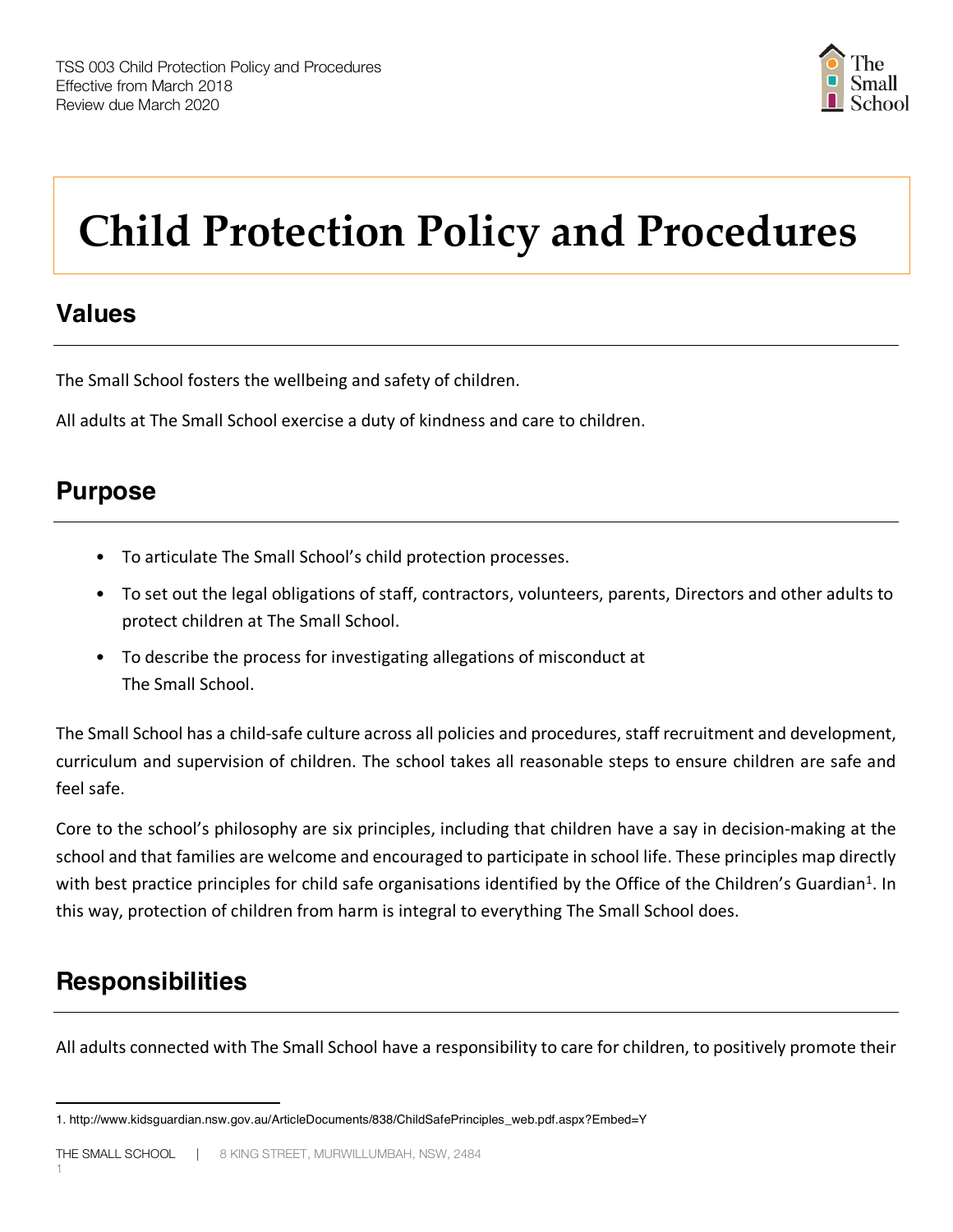

# **Child Protection Policy and Procedures**

# **Values**

The Small School fosters the wellbeing and safety of children.

All adults at The Small School exercise a duty of kindness and care to children.

## **Purpose**

- To articulate The Small School's child protection processes.
- To set out the legal obligations of staff, contractors, volunteers, parents, Directors and other adults to protect children at The Small School.
- To describe the process for investigating allegations of misconduct at The Small School.

The Small School has a child-safe culture across all policies and procedures, staff recruitment and development, curriculum and supervision of children. The school takes all reasonable steps to ensure children are safe and feel safe.

Core to the school's philosophy are six principles, including that children have a say in decision-making at the school and that families are welcome and encouraged to participate in school life. These principles map directly with best practice principles for child safe organisations identified by the Office of the Children's Guardian<sup>1</sup>. In this way, protection of children from harm is integral to everything The Small School does.

# **Responsibilities**

 $\overline{a}$ 

All adults connected with The Small School have a responsibility to care for children, to positively promote their

<sup>1.</sup> http://www.kidsguardian.nsw.gov.au/ArticleDocuments/838/ChildSafePrinciples\_web.pdf.aspx?Embed=Y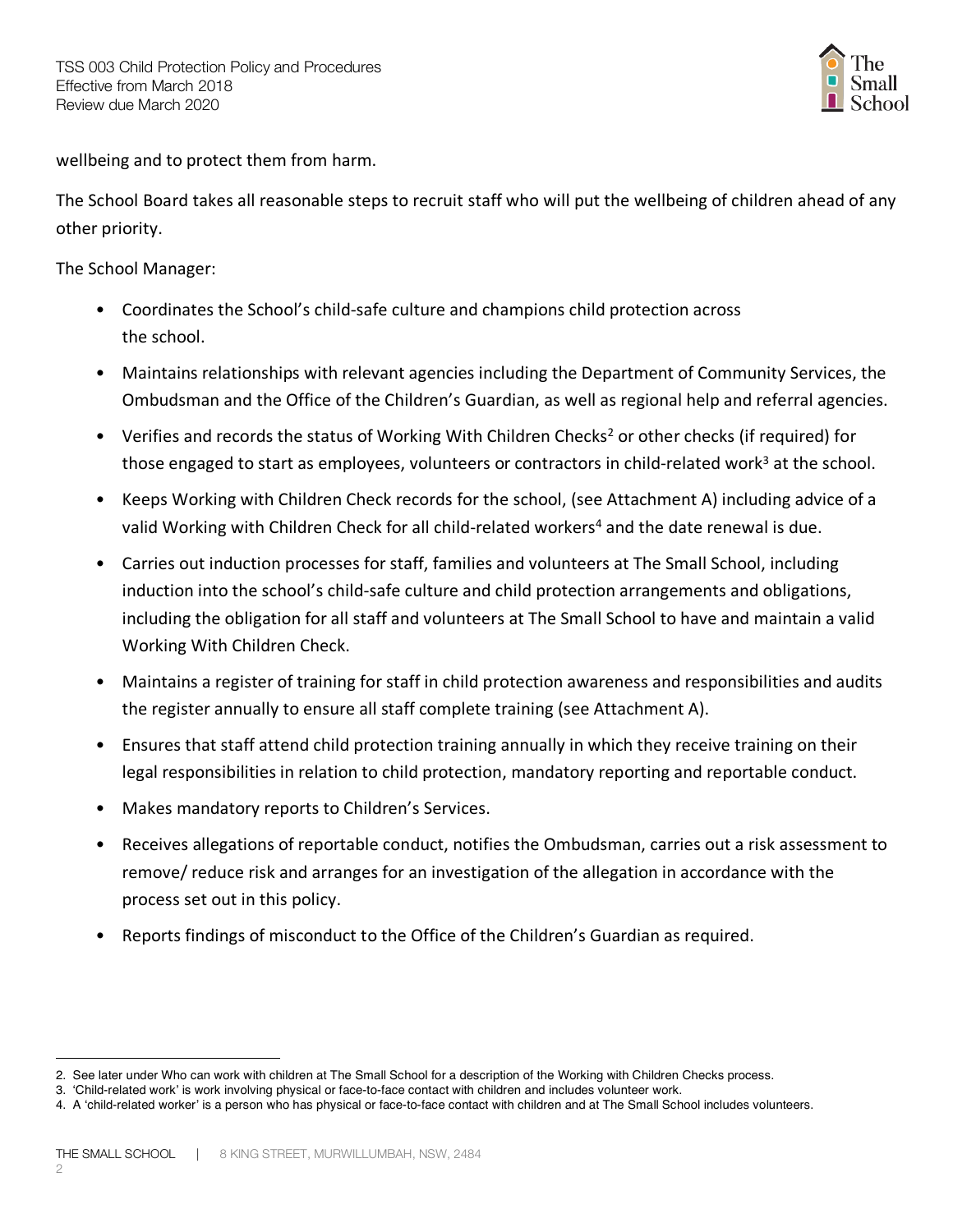

wellbeing and to protect them from harm.

The School Board takes all reasonable steps to recruit staff who will put the wellbeing of children ahead of any other priority.

The School Manager:

- Coordinates the School's child-safe culture and champions child protection across the school.
- Maintains relationships with relevant agencies including the Department of Community Services, the Ombudsman and the Office of the Children's Guardian, as well as regional help and referral agencies.
- Verifies and records the status of Working With Children Checks<sup>2</sup> or other checks (if required) for those engaged to start as employees, volunteers or contractors in child-related work<sup>3</sup> at the school.
- Keeps Working with Children Check records for the school, (see Attachment A) including advice of a valid Working with Children Check for all child-related workers<sup>4</sup> and the date renewal is due.
- Carries out induction processes for staff, families and volunteers at The Small School, including induction into the school's child-safe culture and child protection arrangements and obligations, including the obligation for all staff and volunteers at The Small School to have and maintain a valid Working With Children Check.
- Maintains a register of training for staff in child protection awareness and responsibilities and audits the register annually to ensure all staff complete training (see Attachment A).
- Ensures that staff attend child protection training annually in which they receive training on their legal responsibilities in relation to child protection, mandatory reporting and reportable conduct.
- Makes mandatory reports to Children's Services.
- Receives allegations of reportable conduct, notifies the Ombudsman, carries out a risk assessment to remove/ reduce risk and arranges for an investigation of the allegation in accordance with the process set out in this policy.
- Reports findings of misconduct to the Office of the Children's Guardian as required.

 $\overline{a}$ 2. See later under Who can work with children at The Small School for a description of the Working with Children Checks process.

<sup>3. &#</sup>x27;Child-related work' is work involving physical or face-to-face contact with children and includes volunteer work.

<sup>4.</sup> A 'child-related worker' is a person who has physical or face-to-face contact with children and at The Small School includes volunteers.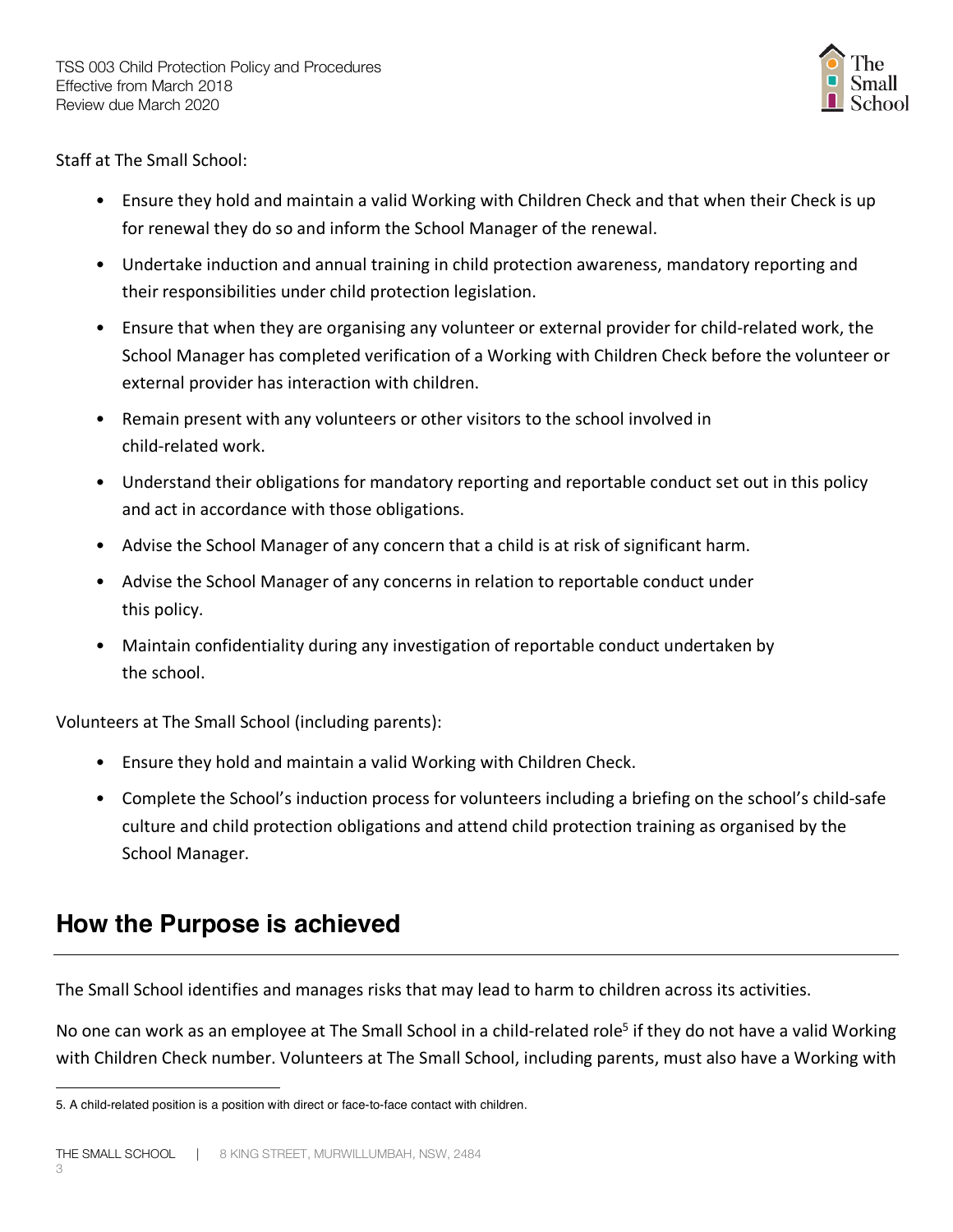

Staff at The Small School:

- Ensure they hold and maintain a valid Working with Children Check and that when their Check is up for renewal they do so and inform the School Manager of the renewal.
- Undertake induction and annual training in child protection awareness, mandatory reporting and their responsibilities under child protection legislation.
- Ensure that when they are organising any volunteer or external provider for child-related work, the School Manager has completed verification of a Working with Children Check before the volunteer or external provider has interaction with children.
- Remain present with any volunteers or other visitors to the school involved in child-related work.
- Understand their obligations for mandatory reporting and reportable conduct set out in this policy and act in accordance with those obligations.
- Advise the School Manager of any concern that a child is at risk of significant harm.
- Advise the School Manager of any concerns in relation to reportable conduct under this policy.
- Maintain confidentiality during any investigation of reportable conduct undertaken by the school.

Volunteers at The Small School (including parents):

- Ensure they hold and maintain a valid Working with Children Check.
- Complete the School's induction process for volunteers including a briefing on the school's child-safe culture and child protection obligations and attend child protection training as organised by the School Manager.

### **How the Purpose is achieved**

The Small School identifies and manages risks that may lead to harm to children across its activities.

No one can work as an employee at The Small School in a child-related role<sup>5</sup> if they do not have a valid Working with Children Check number. Volunteers at The Small School, including parents, must also have a Working with

 $\overline{a}$ 5. A child-related position is a position with direct or face-to-face contact with children.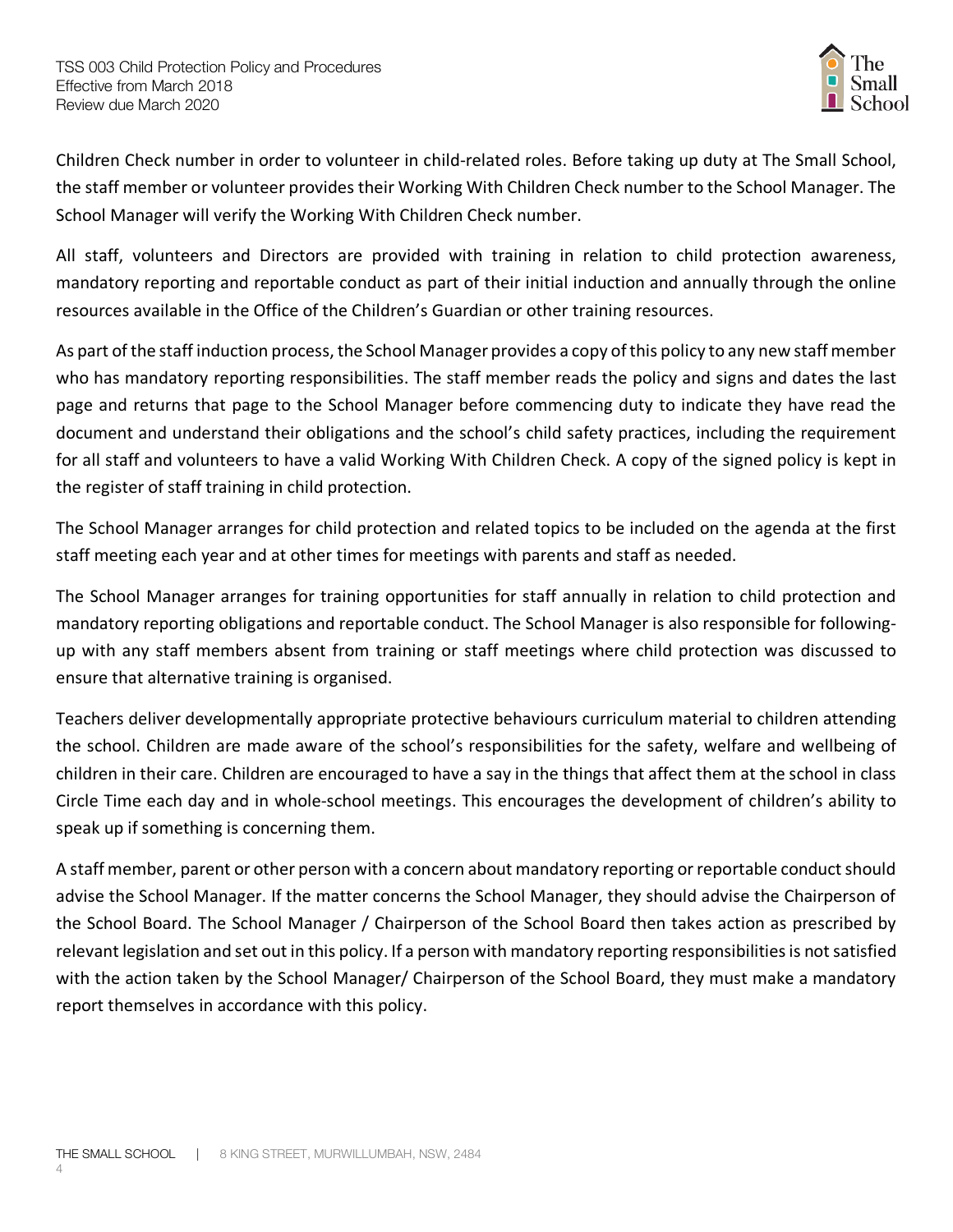

Children Check number in order to volunteer in child-related roles. Before taking up duty at The Small School, the staff member or volunteer provides their Working With Children Check number to the School Manager. The School Manager will verify the Working With Children Check number.

All staff, volunteers and Directors are provided with training in relation to child protection awareness, mandatory reporting and reportable conduct as part of their initial induction and annually through the online resources available in the Office of the Children's Guardian or other training resources.

As part of the staff induction process, the School Manager provides a copy of this policy to any new staff member who has mandatory reporting responsibilities. The staff member reads the policy and signs and dates the last page and returns that page to the School Manager before commencing duty to indicate they have read the document and understand their obligations and the school's child safety practices, including the requirement for all staff and volunteers to have a valid Working With Children Check. A copy of the signed policy is kept in the register of staff training in child protection.

The School Manager arranges for child protection and related topics to be included on the agenda at the first staff meeting each year and at other times for meetings with parents and staff as needed.

The School Manager arranges for training opportunities for staff annually in relation to child protection and mandatory reporting obligations and reportable conduct. The School Manager is also responsible for followingup with any staff members absent from training or staff meetings where child protection was discussed to ensure that alternative training is organised.

Teachers deliver developmentally appropriate protective behaviours curriculum material to children attending the school. Children are made aware of the school's responsibilities for the safety, welfare and wellbeing of children in their care. Children are encouraged to have a say in the things that affect them at the school in class Circle Time each day and in whole-school meetings. This encourages the development of children's ability to speak up if something is concerning them.

A staff member, parent or other person with a concern about mandatory reporting or reportable conduct should advise the School Manager. If the matter concerns the School Manager, they should advise the Chairperson of the School Board. The School Manager / Chairperson of the School Board then takes action as prescribed by relevant legislation and set out in this policy. If a person with mandatory reporting responsibilities is not satisfied with the action taken by the School Manager/ Chairperson of the School Board, they must make a mandatory report themselves in accordance with this policy.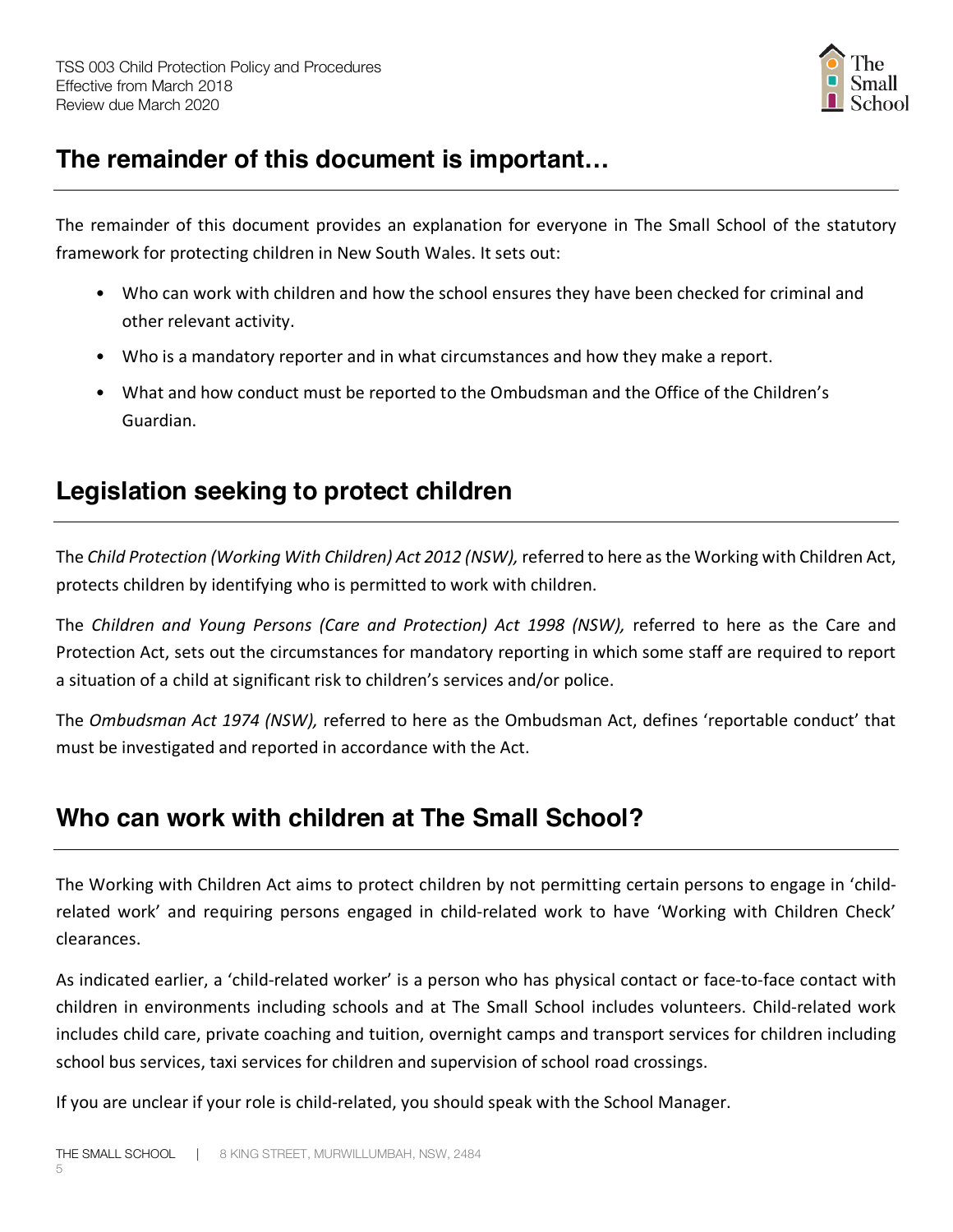

# **The remainder of this document is important…**

The remainder of this document provides an explanation for everyone in The Small School of the statutory framework for protecting children in New South Wales. It sets out:

- Who can work with children and how the school ensures they have been checked for criminal and other relevant activity.
- Who is a mandatory reporter and in what circumstances and how they make a report.
- What and how conduct must be reported to the Ombudsman and the Office of the Children's Guardian.

# **Legislation seeking to protect children**

The *Child Protection (Working With Children) Act 2012 (NSW),* referred to here as the Working with Children Act, protects children by identifying who is permitted to work with children.

The *Children and Young Persons (Care and Protection) Act 1998 (NSW),* referred to here as the Care and Protection Act, sets out the circumstances for mandatory reporting in which some staff are required to report a situation of a child at significant risk to children's services and/or police.

The *Ombudsman Act 1974 (NSW),* referred to here as the Ombudsman Act, defines 'reportable conduct' that must be investigated and reported in accordance with the Act.

# **Who can work with children at The Small School?**

The Working with Children Act aims to protect children by not permitting certain persons to engage in 'childrelated work' and requiring persons engaged in child-related work to have 'Working with Children Check' clearances.

As indicated earlier, a 'child-related worker' is a person who has physical contact or face-to-face contact with children in environments including schools and at The Small School includes volunteers. Child-related work includes child care, private coaching and tuition, overnight camps and transport services for children including school bus services, taxi services for children and supervision of school road crossings.

If you are unclear if your role is child-related, you should speak with the School Manager.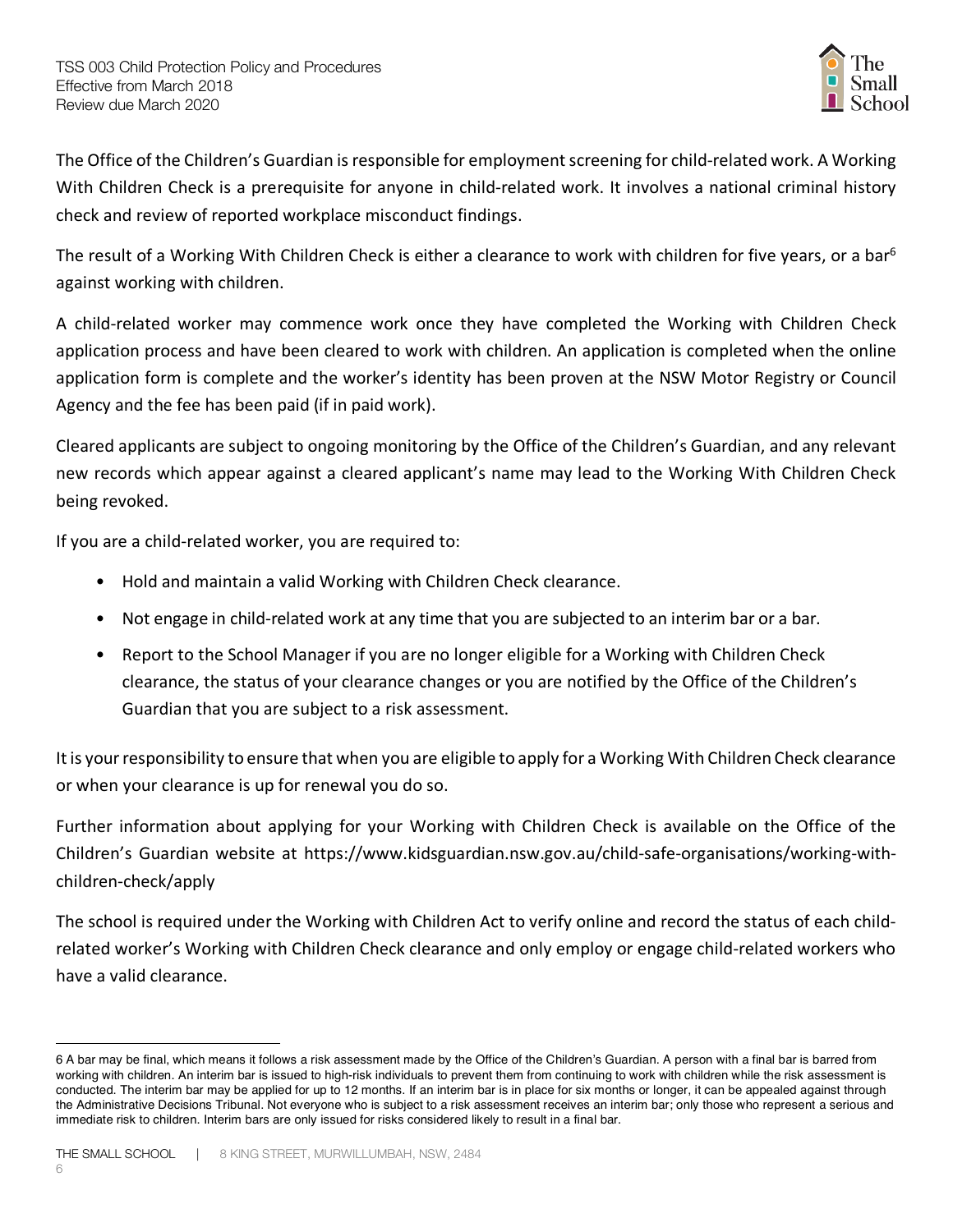

The Office of the Children's Guardian is responsible for employment screening for child-related work. A Working With Children Check is a prerequisite for anyone in child-related work. It involves a national criminal history check and review of reported workplace misconduct findings.

The result of a Working With Children Check is either a clearance to work with children for five years, or a bar<sup>6</sup> against working with children.

A child-related worker may commence work once they have completed the Working with Children Check application process and have been cleared to work with children. An application is completed when the online application form is complete and the worker's identity has been proven at the NSW Motor Registry or Council Agency and the fee has been paid (if in paid work).

Cleared applicants are subject to ongoing monitoring by the Office of the Children's Guardian, and any relevant new records which appear against a cleared applicant's name may lead to the Working With Children Check being revoked.

If you are a child-related worker, you are required to:

- Hold and maintain a valid Working with Children Check clearance.
- Not engage in child-related work at any time that you are subjected to an interim bar or a bar.
- Report to the School Manager if you are no longer eligible for a Working with Children Check clearance, the status of your clearance changes or you are notified by the Office of the Children's Guardian that you are subject to a risk assessment.

It is your responsibility to ensure that when you are eligible to apply for a Working With Children Check clearance or when your clearance is up for renewal you do so.

Further information about applying for your Working with Children Check is available on the Office of the Children's Guardian website at https://www.kidsguardian.nsw.gov.au/child-safe-organisations/working-withchildren-check/apply

The school is required under the Working with Children Act to verify online and record the status of each childrelated worker's Working with Children Check clearance and only employ or engage child-related workers who have a valid clearance.

 $\overline{a}$ 

<sup>6</sup> A bar may be final, which means it follows a risk assessment made by the Office of the Children's Guardian. A person with a final bar is barred from working with children. An interim bar is issued to high-risk individuals to prevent them from continuing to work with children while the risk assessment is conducted. The interim bar may be applied for up to 12 months. If an interim bar is in place for six months or longer, it can be appealed against through the Administrative Decisions Tribunal. Not everyone who is subject to a risk assessment receives an interim bar; only those who represent a serious and immediate risk to children. Interim bars are only issued for risks considered likely to result in a final bar.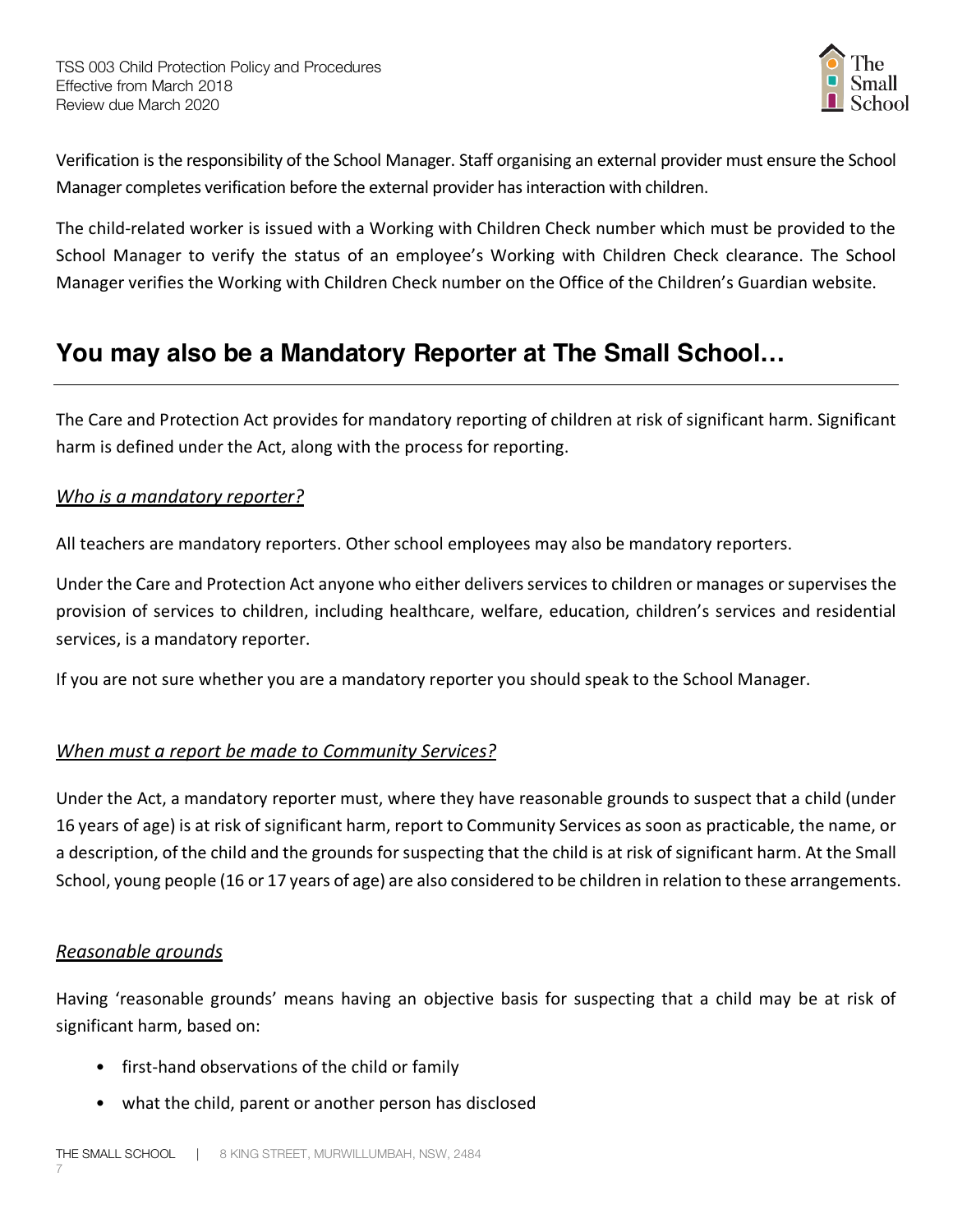

Verification is the responsibility of the School Manager. Staff organising an external provider must ensure the School Manager completes verification before the external provider has interaction with children.

The child-related worker is issued with a Working with Children Check number which must be provided to the School Manager to verify the status of an employee's Working with Children Check clearance. The School Manager verifies the Working with Children Check number on the Office of the Children's Guardian website.

# **You may also be a Mandatory Reporter at The Small School…**

The Care and Protection Act provides for mandatory reporting of children at risk of significant harm. Significant harm is defined under the Act, along with the process for reporting.

#### *Who is a mandatory reporter?*

All teachers are mandatory reporters. Other school employees may also be mandatory reporters.

Under the Care and Protection Act anyone who either delivers services to children or manages or supervises the provision of services to children, including healthcare, welfare, education, children's services and residential services, is a mandatory reporter.

If you are not sure whether you are a mandatory reporter you should speak to the School Manager.

### *When must a report be made to Community Services?*

Under the Act, a mandatory reporter must, where they have reasonable grounds to suspect that a child (under 16 years of age) is at risk of significant harm, report to Community Services as soon as practicable, the name, or a description, of the child and the grounds for suspecting that the child is at risk of significant harm. At the Small School, young people (16 or 17 years of age) are also considered to be children in relation to these arrangements.

### *Reasonable grounds*

Having 'reasonable grounds' means having an objective basis for suspecting that a child may be at risk of significant harm, based on:

- first-hand observations of the child or family
- what the child, parent or another person has disclosed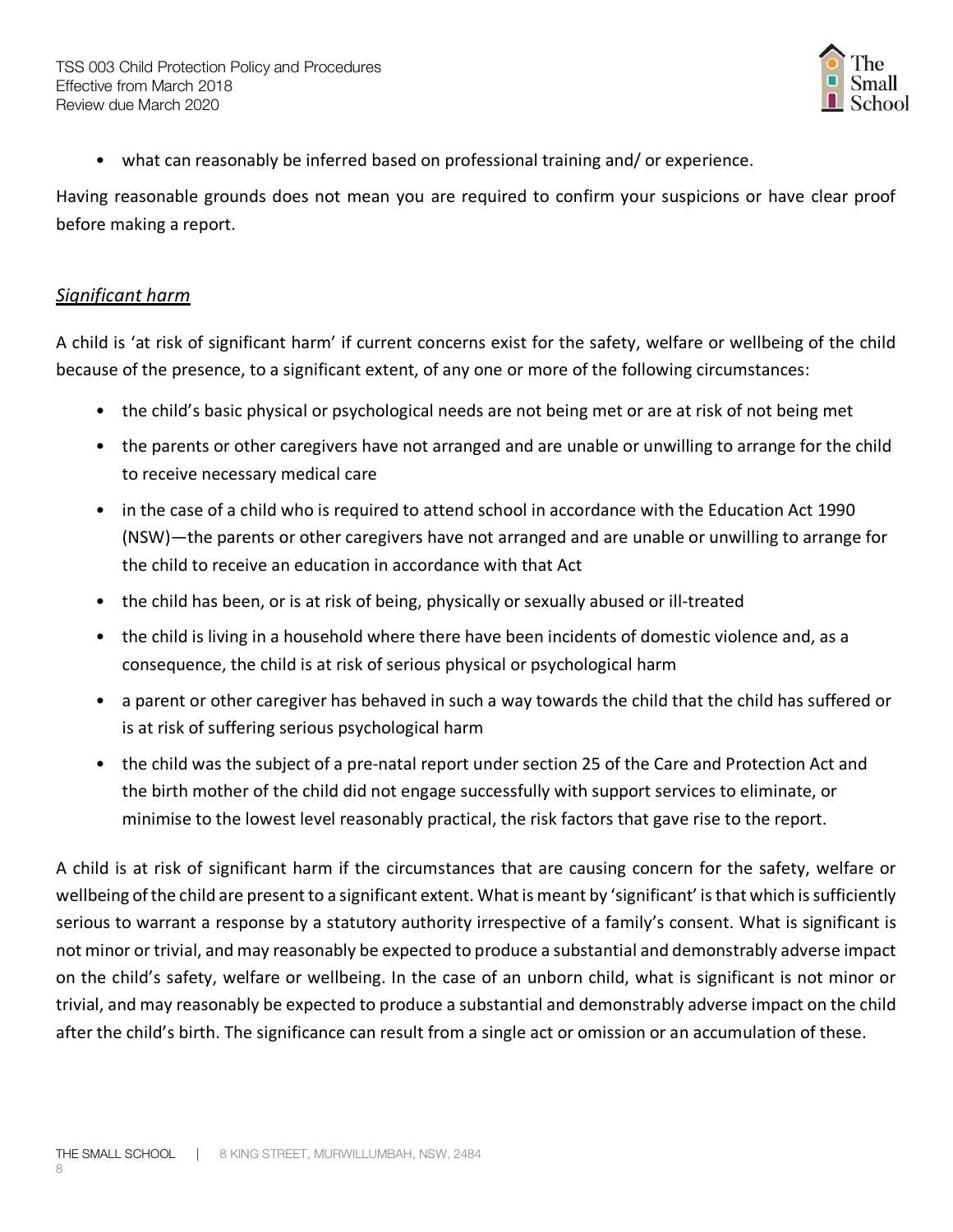

• what can reasonably be inferred based on professional training and/ or experience.

Having reasonable grounds does not mean you are required to confirm your suspicions or have clear proof before making a report.

#### *Significant harm*

A child is 'at risk of significant harm' if current concerns exist for the safety, welfare or wellbeing of the child because of the presence, to a significant extent, of any one or more of the following circumstances:

- the child's basic physical or psychological needs are not being met or are at risk of not being met
- the parents or other caregivers have not arranged and are unable or unwilling to arrange for the child to receive necessary medical care
- in the case of a child who is required to attend school in accordance with the Education Act 1990 (NSW)—the parents or other caregivers have not arranged and are unable or unwilling to arrange for the child to receive an education in accordance with that Act
- the child has been, or is at risk of being, physically or sexually abused or ill-treated
- the child is living in a household where there have been incidents of domestic violence and, as a consequence, the child is at risk of serious physical or psychological harm
- a parent or other caregiver has behaved in such a way towards the child that the child has suffered or is at risk of suffering serious psychological harm
- the child was the subject of a pre-natal report under section 25 of the Care and Protection Act and the birth mother of the child did not engage successfully with support services to eliminate, or minimise to the lowest level reasonably practical, the risk factors that gave rise to the report.

A child is at risk of significant harm if the circumstances that are causing concern for the safety, welfare or wellbeing of the child are present to a significant extent. What is meant by 'significant' is that which is sufficiently serious to warrant a response by a statutory authority irrespective of a family's consent. What is significant is not minor or trivial, and may reasonably be expected to produce a substantial and demonstrably adverse impact on the child's safety, welfare or wellbeing. In the case of an unborn child, what is significant is not minor or trivial, and may reasonably be expected to produce a substantial and demonstrably adverse impact on the child after the child's birth. The significance can result from a single act or omission or an accumulation of these.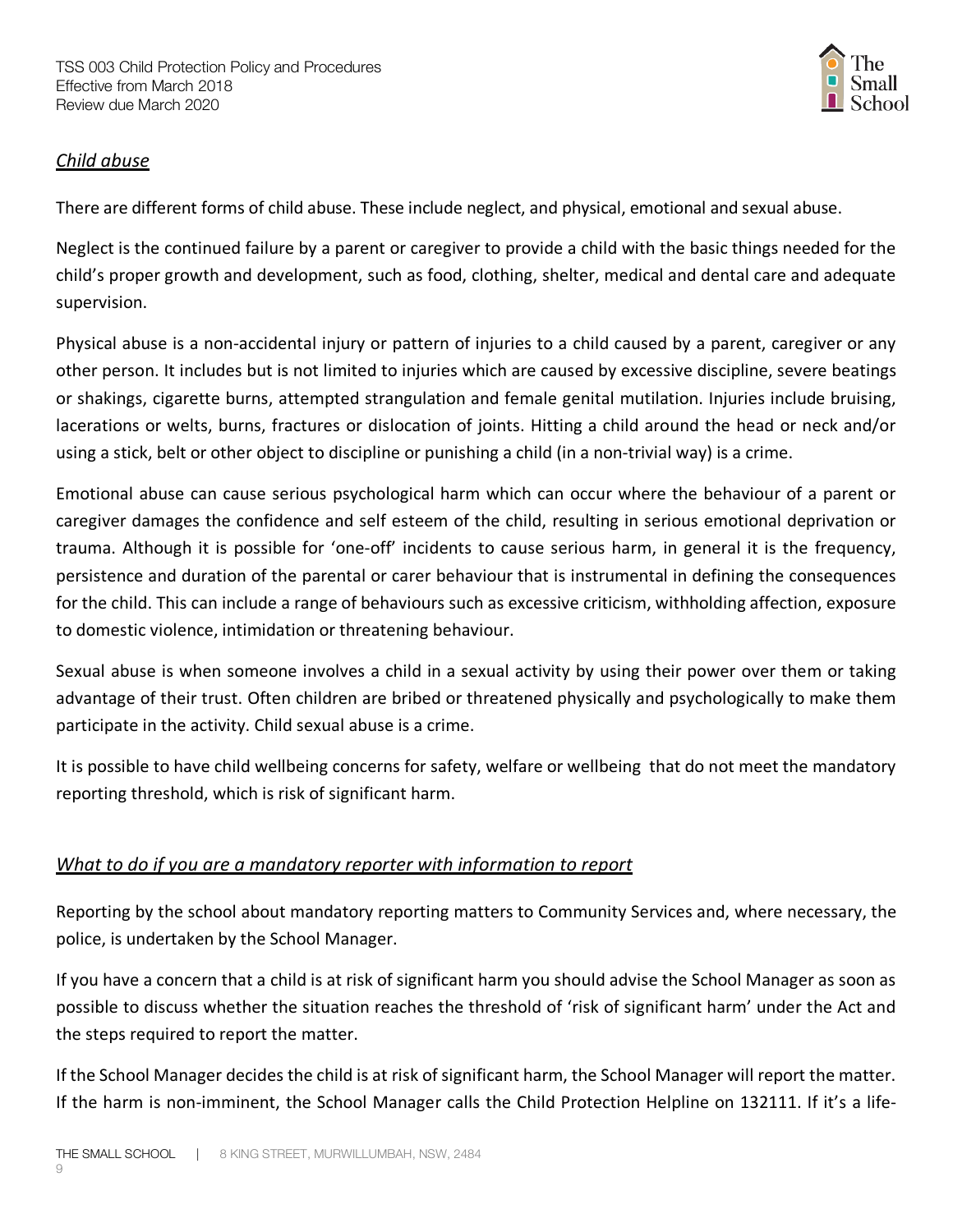

### *Child abuse*

There are different forms of child abuse. These include neglect, and physical, emotional and sexual abuse.

Neglect is the continued failure by a parent or caregiver to provide a child with the basic things needed for the child's proper growth and development, such as food, clothing, shelter, medical and dental care and adequate supervision.

Physical abuse is a non-accidental injury or pattern of injuries to a child caused by a parent, caregiver or any other person. It includes but is not limited to injuries which are caused by excessive discipline, severe beatings or shakings, cigarette burns, attempted strangulation and female genital mutilation. Injuries include bruising, lacerations or welts, burns, fractures or dislocation of joints. Hitting a child around the head or neck and/or using a stick, belt or other object to discipline or punishing a child (in a non-trivial way) is a crime.

Emotional abuse can cause serious psychological harm which can occur where the behaviour of a parent or caregiver damages the confidence and self esteem of the child, resulting in serious emotional deprivation or trauma. Although it is possible for 'one-off' incidents to cause serious harm, in general it is the frequency, persistence and duration of the parental or carer behaviour that is instrumental in defining the consequences for the child. This can include a range of behaviours such as excessive criticism, withholding affection, exposure to domestic violence, intimidation or threatening behaviour.

Sexual abuse is when someone involves a child in a sexual activity by using their power over them or taking advantage of their trust. Often children are bribed or threatened physically and psychologically to make them participate in the activity. Child sexual abuse is a crime.

It is possible to have child wellbeing concerns for safety, welfare or wellbeing that do not meet the mandatory reporting threshold, which is risk of significant harm.

### *What to do if you are a mandatory reporter with information to report*

Reporting by the school about mandatory reporting matters to Community Services and, where necessary, the police, is undertaken by the School Manager.

If you have a concern that a child is at risk of significant harm you should advise the School Manager as soon as possible to discuss whether the situation reaches the threshold of 'risk of significant harm' under the Act and the steps required to report the matter.

If the School Manager decides the child is at risk of significant harm, the School Manager will report the matter. If the harm is non-imminent, the School Manager calls the Child Protection Helpline on 132111. If it's a life-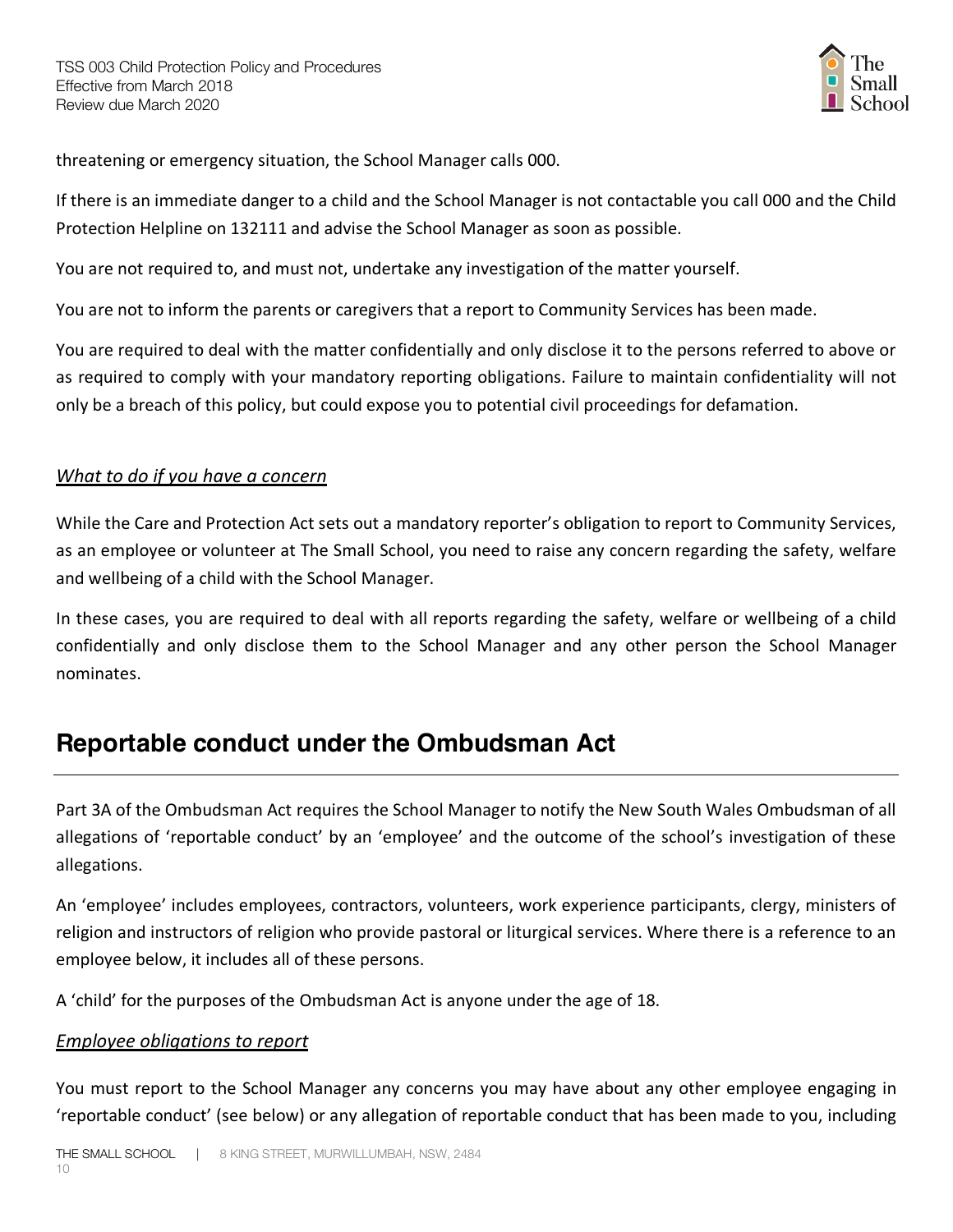

threatening or emergency situation, the School Manager calls 000.

If there is an immediate danger to a child and the School Manager is not contactable you call 000 and the Child Protection Helpline on 132111 and advise the School Manager as soon as possible.

You are not required to, and must not, undertake any investigation of the matter yourself.

You are not to inform the parents or caregivers that a report to Community Services has been made.

You are required to deal with the matter confidentially and only disclose it to the persons referred to above or as required to comply with your mandatory reporting obligations. Failure to maintain confidentiality will not only be a breach of this policy, but could expose you to potential civil proceedings for defamation.

#### *What to do if you have a concern*

While the Care and Protection Act sets out a mandatory reporter's obligation to report to Community Services, as an employee or volunteer at The Small School, you need to raise any concern regarding the safety, welfare and wellbeing of a child with the School Manager.

In these cases, you are required to deal with all reports regarding the safety, welfare or wellbeing of a child confidentially and only disclose them to the School Manager and any other person the School Manager nominates.

### **Reportable conduct under the Ombudsman Act**

Part 3A of the Ombudsman Act requires the School Manager to notify the New South Wales Ombudsman of all allegations of 'reportable conduct' by an 'employee' and the outcome of the school's investigation of these allegations.

An 'employee' includes employees, contractors, volunteers, work experience participants, clergy, ministers of religion and instructors of religion who provide pastoral or liturgical services. Where there is a reference to an employee below, it includes all of these persons.

A 'child' for the purposes of the Ombudsman Act is anyone under the age of 18.

#### *Employee obligations to report*

You must report to the School Manager any concerns you may have about any other employee engaging in 'reportable conduct' (see below) or any allegation of reportable conduct that has been made to you, including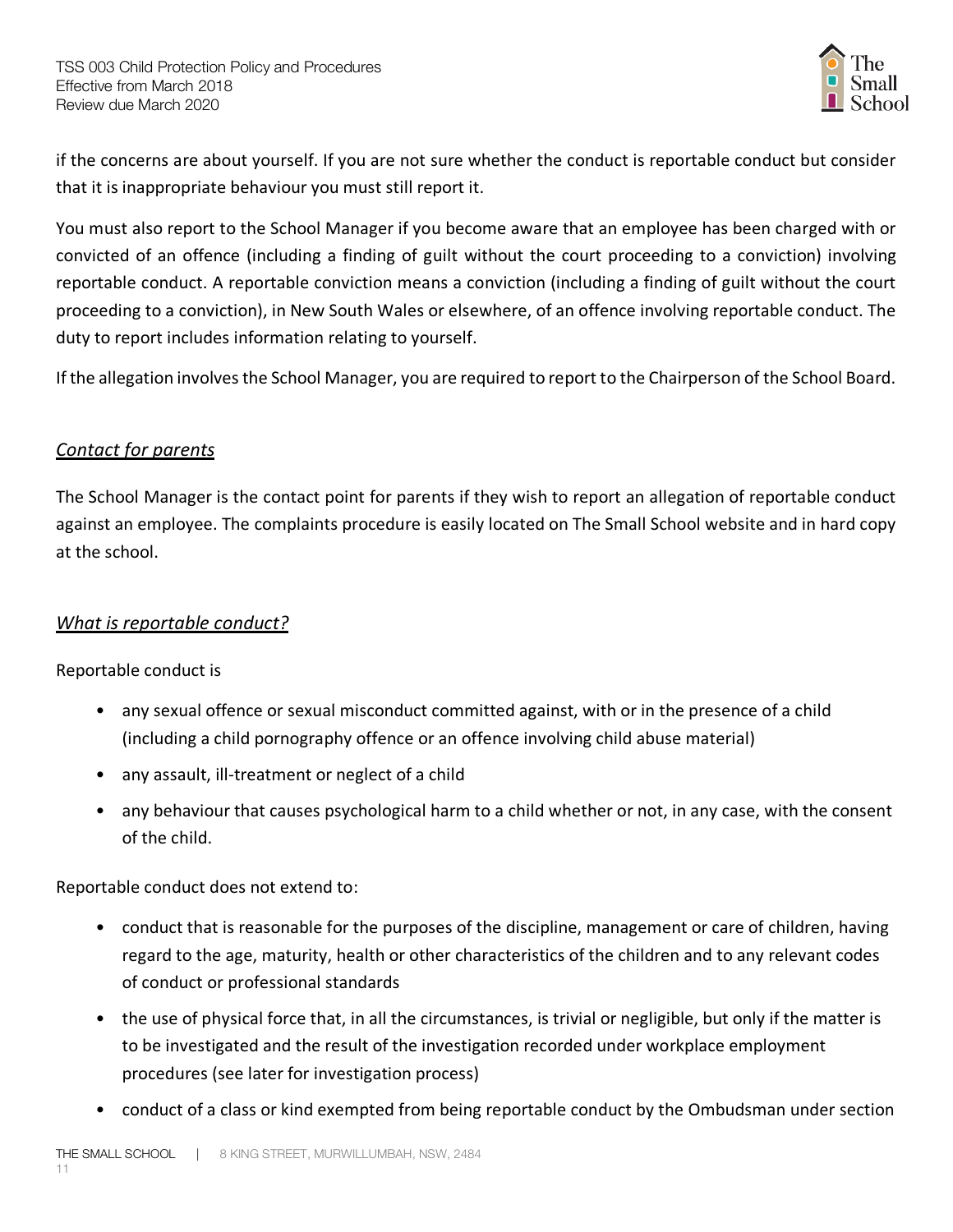

if the concerns are about yourself. If you are not sure whether the conduct is reportable conduct but consider that it is inappropriate behaviour you must still report it.

You must also report to the School Manager if you become aware that an employee has been charged with or convicted of an offence (including a finding of guilt without the court proceeding to a conviction) involving reportable conduct. A reportable conviction means a conviction (including a finding of guilt without the court proceeding to a conviction), in New South Wales or elsewhere, of an offence involving reportable conduct. The duty to report includes information relating to yourself.

If the allegation involves the School Manager, you are required to report to the Chairperson of the School Board.

#### *Contact for parents*

The School Manager is the contact point for parents if they wish to report an allegation of reportable conduct against an employee. The complaints procedure is easily located on The Small School website and in hard copy at the school.

### *What is reportable conduct?*

Reportable conduct is

- any sexual offence or sexual misconduct committed against, with or in the presence of a child (including a child pornography offence or an offence involving child abuse material)
- any assault, ill-treatment or neglect of a child
- any behaviour that causes psychological harm to a child whether or not, in any case, with the consent of the child.

Reportable conduct does not extend to:

- conduct that is reasonable for the purposes of the discipline, management or care of children, having regard to the age, maturity, health or other characteristics of the children and to any relevant codes of conduct or professional standards
- the use of physical force that, in all the circumstances, is trivial or negligible, but only if the matter is to be investigated and the result of the investigation recorded under workplace employment procedures (see later for investigation process)
- conduct of a class or kind exempted from being reportable conduct by the Ombudsman under section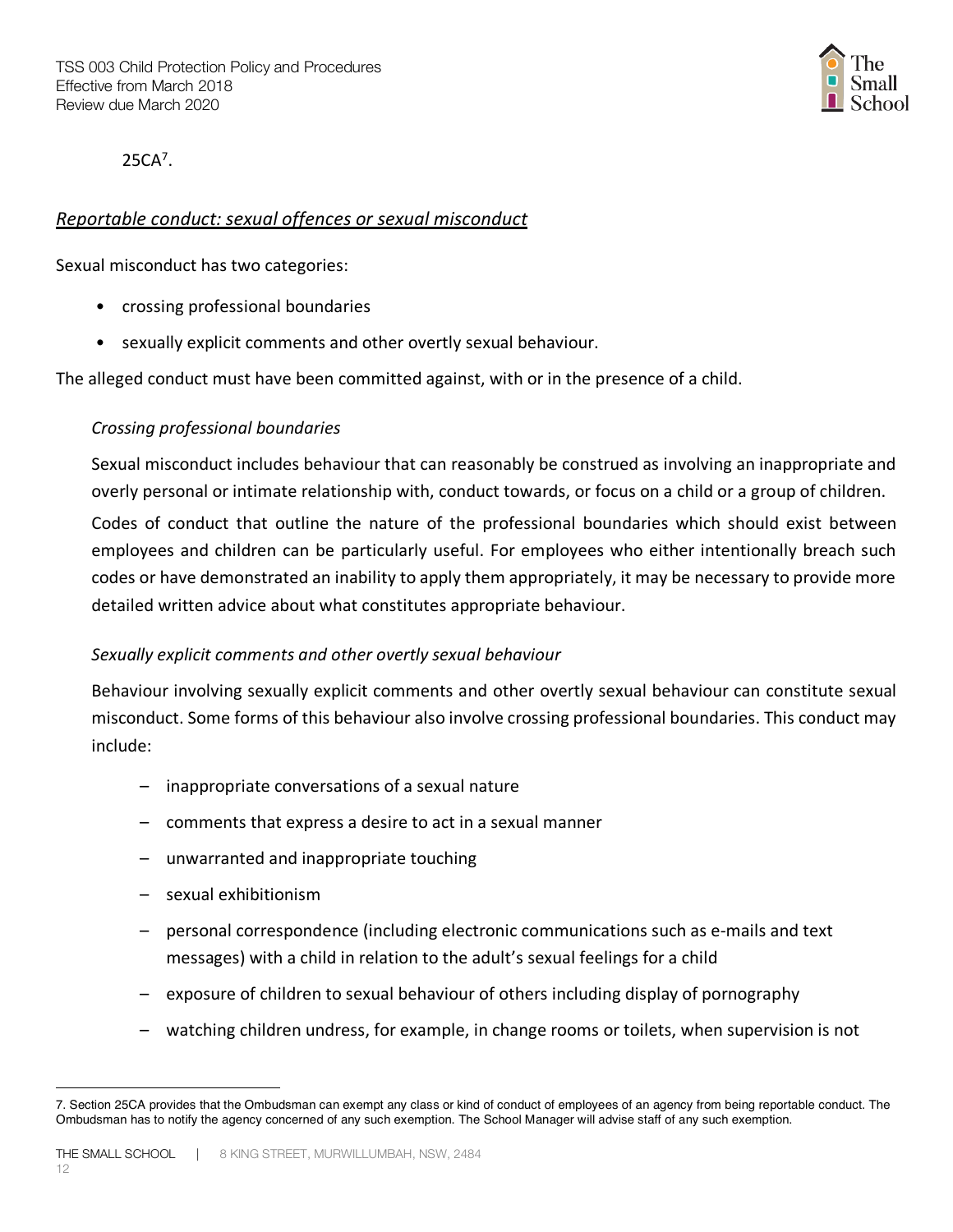

25CA7.

#### *Reportable conduct: sexual offences or sexual misconduct*

Sexual misconduct has two categories:

- crossing professional boundaries
- sexually explicit comments and other overtly sexual behaviour.

The alleged conduct must have been committed against, with or in the presence of a child.

#### *Crossing professional boundaries*

Sexual misconduct includes behaviour that can reasonably be construed as involving an inappropriate and overly personal or intimate relationship with, conduct towards, or focus on a child or a group of children. Codes of conduct that outline the nature of the professional boundaries which should exist between employees and children can be particularly useful. For employees who either intentionally breach such codes or have demonstrated an inability to apply them appropriately, it may be necessary to provide more detailed written advice about what constitutes appropriate behaviour.

#### *Sexually explicit comments and other overtly sexual behaviour*

Behaviour involving sexually explicit comments and other overtly sexual behaviour can constitute sexual misconduct. Some forms of this behaviour also involve crossing professional boundaries. This conduct may include:

- inappropriate conversations of a sexual nature
- comments that express a desire to act in a sexual manner
- unwarranted and inappropriate touching
- sexual exhibitionism

 $\overline{a}$ 

- personal correspondence (including electronic communications such as e-mails and text messages) with a child in relation to the adult's sexual feelings for a child
- exposure of children to sexual behaviour of others including display of pornography
- watching children undress, for example, in change rooms or toilets, when supervision is not

<sup>7.</sup> Section 25CA provides that the Ombudsman can exempt any class or kind of conduct of employees of an agency from being reportable conduct. The Ombudsman has to notify the agency concerned of any such exemption. The School Manager will advise staff of any such exemption.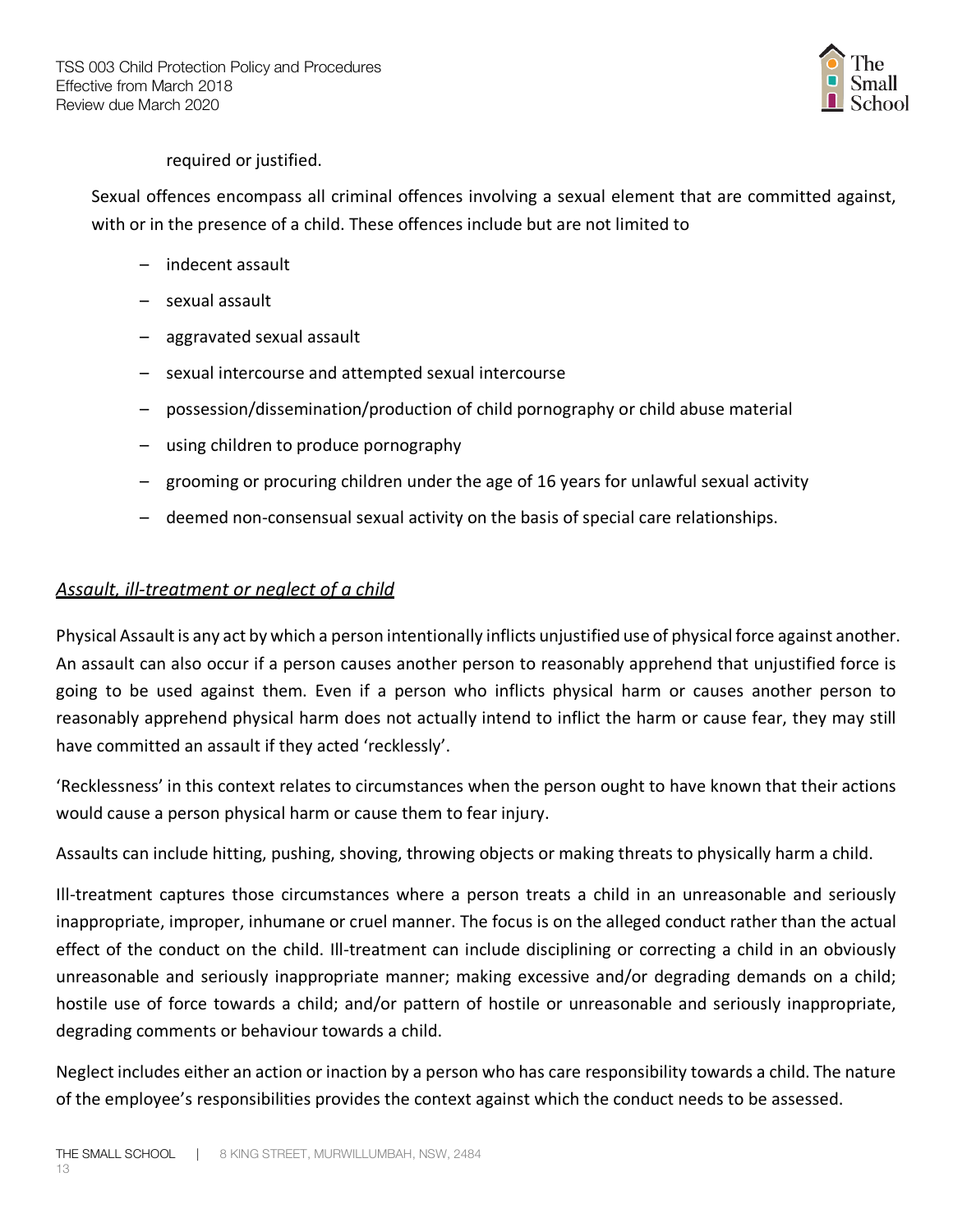

#### required or justified.

Sexual offences encompass all criminal offences involving a sexual element that are committed against, with or in the presence of a child. These offences include but are not limited to

- indecent assault
- sexual assault
- aggravated sexual assault
- sexual intercourse and attempted sexual intercourse
- possession/dissemination/production of child pornography or child abuse material
- using children to produce pornography
- grooming or procuring children under the age of 16 years for unlawful sexual activity
- deemed non-consensual sexual activity on the basis of special care relationships.

#### *Assault, ill-treatment or neglect of a child*

Physical Assault is any act by which a person intentionally inflicts unjustified use of physical force against another. An assault can also occur if a person causes another person to reasonably apprehend that unjustified force is going to be used against them. Even if a person who inflicts physical harm or causes another person to reasonably apprehend physical harm does not actually intend to inflict the harm or cause fear, they may still have committed an assault if they acted 'recklessly'.

'Recklessness' in this context relates to circumstances when the person ought to have known that their actions would cause a person physical harm or cause them to fear injury.

Assaults can include hitting, pushing, shoving, throwing objects or making threats to physically harm a child.

Ill-treatment captures those circumstances where a person treats a child in an unreasonable and seriously inappropriate, improper, inhumane or cruel manner. The focus is on the alleged conduct rather than the actual effect of the conduct on the child. Ill-treatment can include disciplining or correcting a child in an obviously unreasonable and seriously inappropriate manner; making excessive and/or degrading demands on a child; hostile use of force towards a child; and/or pattern of hostile or unreasonable and seriously inappropriate, degrading comments or behaviour towards a child.

Neglect includes either an action or inaction by a person who has care responsibility towards a child. The nature of the employee's responsibilities provides the context against which the conduct needs to be assessed.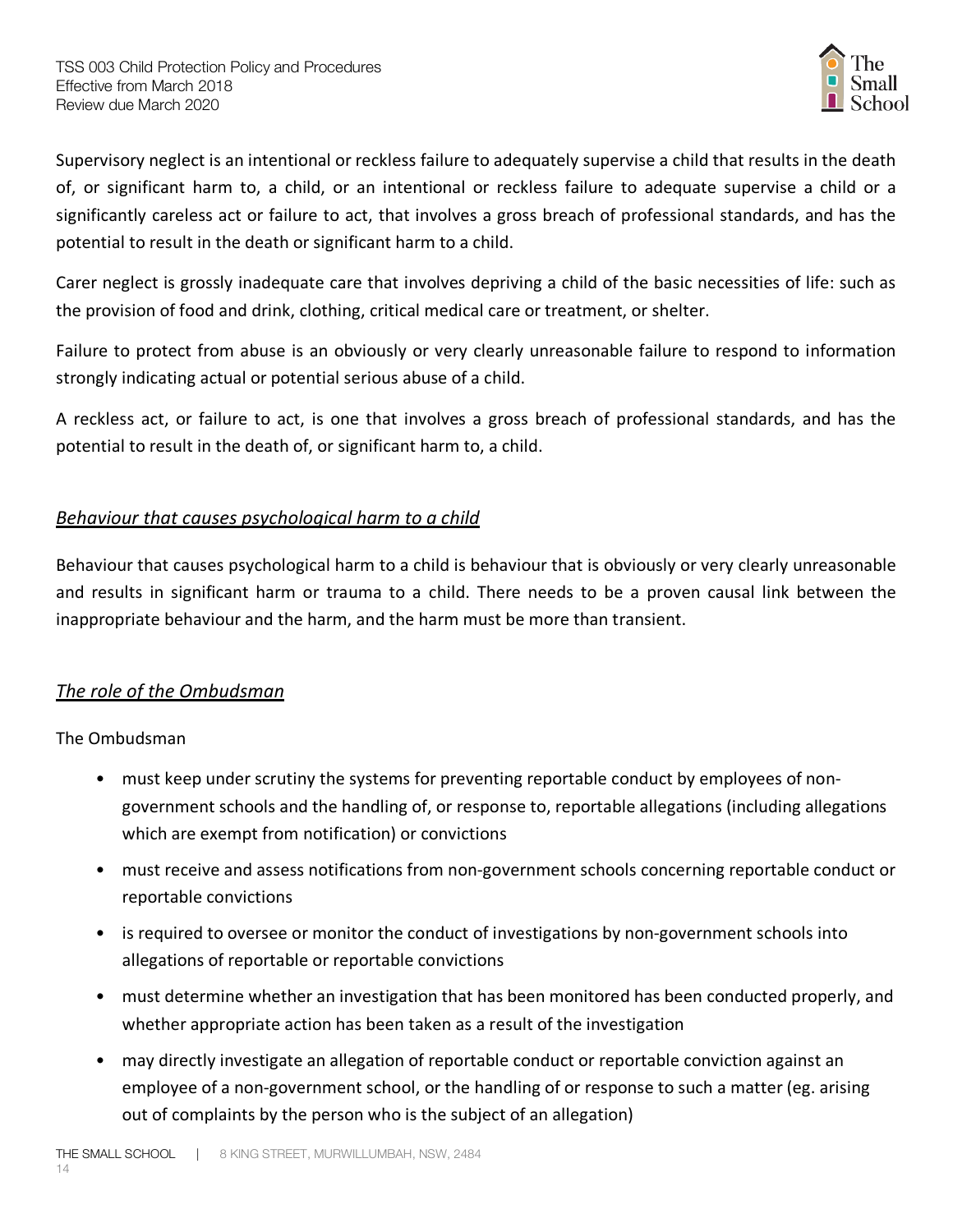

Supervisory neglect is an intentional or reckless failure to adequately supervise a child that results in the death of, or significant harm to, a child, or an intentional or reckless failure to adequate supervise a child or a significantly careless act or failure to act, that involves a gross breach of professional standards, and has the potential to result in the death or significant harm to a child.

Carer neglect is grossly inadequate care that involves depriving a child of the basic necessities of life: such as the provision of food and drink, clothing, critical medical care or treatment, or shelter.

Failure to protect from abuse is an obviously or very clearly unreasonable failure to respond to information strongly indicating actual or potential serious abuse of a child.

A reckless act, or failure to act, is one that involves a gross breach of professional standards, and has the potential to result in the death of, or significant harm to, a child.

### *Behaviour that causes psychological harm to a child*

Behaviour that causes psychological harm to a child is behaviour that is obviously or very clearly unreasonable and results in significant harm or trauma to a child. There needs to be a proven causal link between the inappropriate behaviour and the harm, and the harm must be more than transient.

### *The role of the Ombudsman*

The Ombudsman

- must keep under scrutiny the systems for preventing reportable conduct by employees of nongovernment schools and the handling of, or response to, reportable allegations (including allegations which are exempt from notification) or convictions
- must receive and assess notifications from non-government schools concerning reportable conduct or reportable convictions
- is required to oversee or monitor the conduct of investigations by non-government schools into allegations of reportable or reportable convictions
- must determine whether an investigation that has been monitored has been conducted properly, and whether appropriate action has been taken as a result of the investigation
- may directly investigate an allegation of reportable conduct or reportable conviction against an employee of a non-government school, or the handling of or response to such a matter (eg. arising out of complaints by the person who is the subject of an allegation)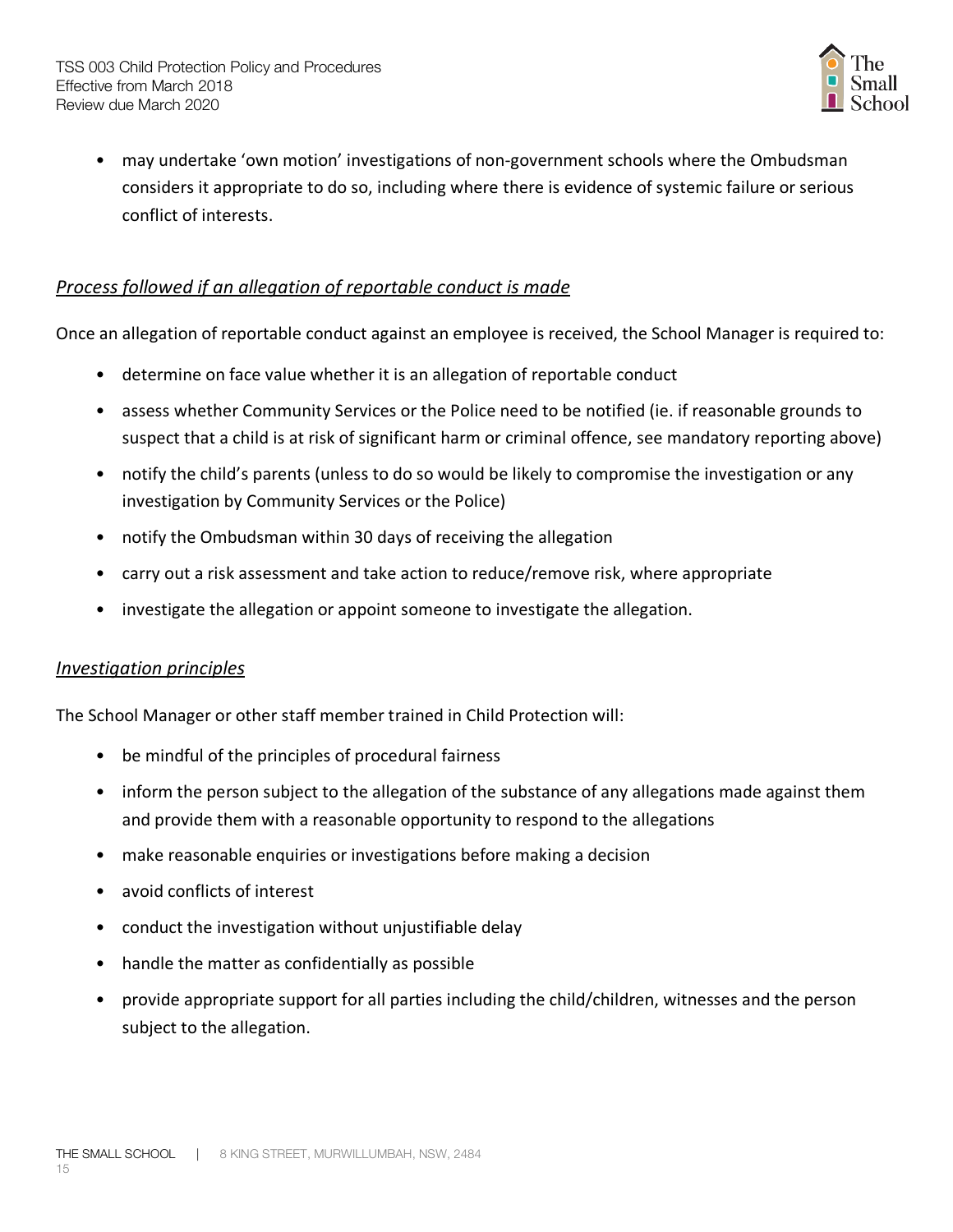

• may undertake 'own motion' investigations of non-government schools where the Ombudsman considers it appropriate to do so, including where there is evidence of systemic failure or serious conflict of interests.

### *Process followed if an allegation of reportable conduct is made*

Once an allegation of reportable conduct against an employee is received, the School Manager is required to:

- determine on face value whether it is an allegation of reportable conduct
- assess whether Community Services or the Police need to be notified (ie. if reasonable grounds to suspect that a child is at risk of significant harm or criminal offence, see mandatory reporting above)
- notify the child's parents (unless to do so would be likely to compromise the investigation or any investigation by Community Services or the Police)
- notify the Ombudsman within 30 days of receiving the allegation
- carry out a risk assessment and take action to reduce/remove risk, where appropriate
- investigate the allegation or appoint someone to investigate the allegation.

#### *Investigation principles*

The School Manager or other staff member trained in Child Protection will:

- be mindful of the principles of procedural fairness
- inform the person subject to the allegation of the substance of any allegations made against them and provide them with a reasonable opportunity to respond to the allegations
- make reasonable enquiries or investigations before making a decision
- avoid conflicts of interest
- conduct the investigation without unjustifiable delay
- handle the matter as confidentially as possible
- provide appropriate support for all parties including the child/children, witnesses and the person subject to the allegation.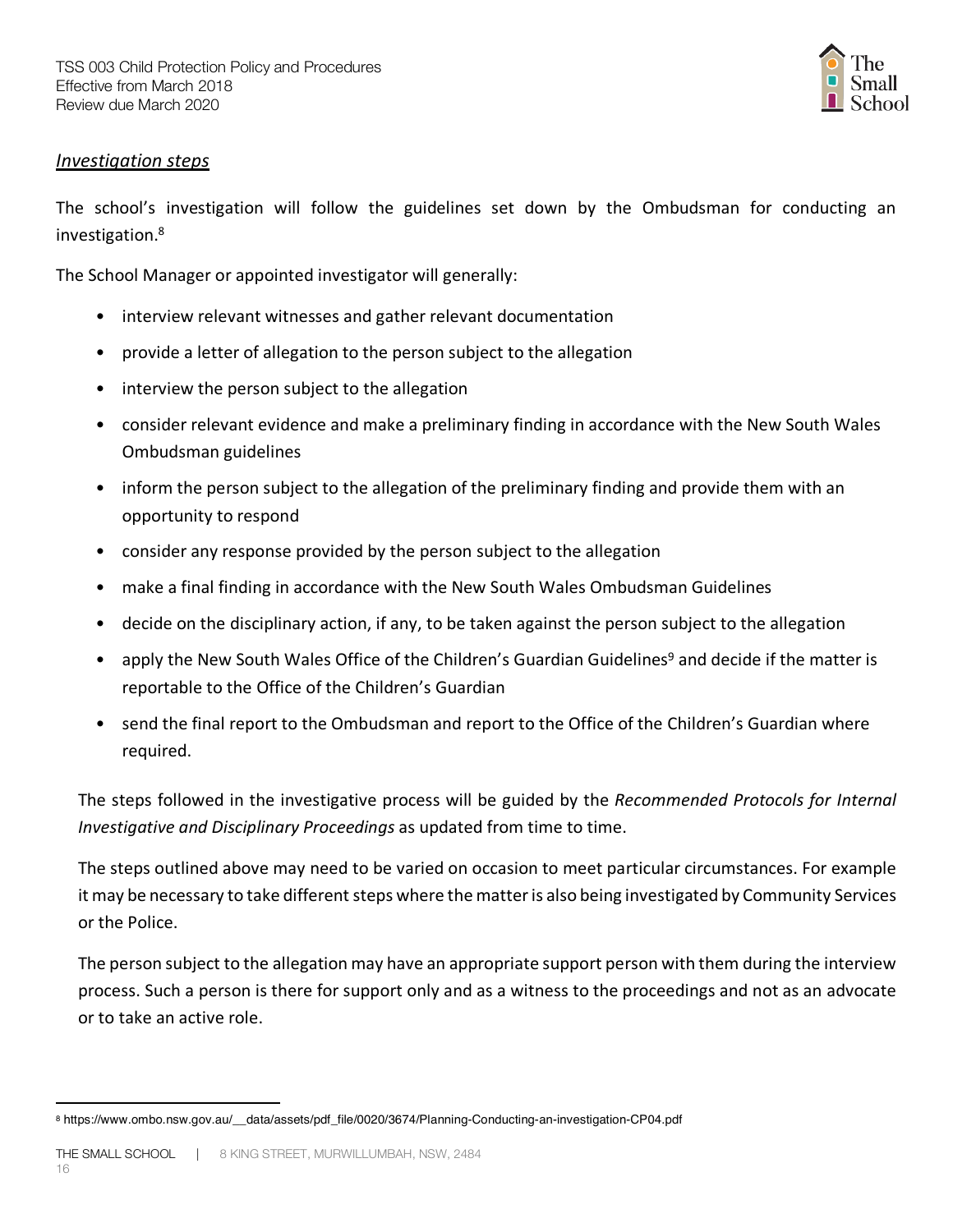

#### *Investigation steps*

The school's investigation will follow the guidelines set down by the Ombudsman for conducting an investigation.8

The School Manager or appointed investigator will generally:

- interview relevant witnesses and gather relevant documentation
- provide a letter of allegation to the person subject to the allegation
- interview the person subject to the allegation
- consider relevant evidence and make a preliminary finding in accordance with the New South Wales Ombudsman guidelines
- inform the person subject to the allegation of the preliminary finding and provide them with an opportunity to respond
- consider any response provided by the person subject to the allegation
- make a final finding in accordance with the New South Wales Ombudsman Guidelines
- decide on the disciplinary action, if any, to be taken against the person subject to the allegation
- apply the New South Wales Office of the Children's Guardian Guidelines<sup>9</sup> and decide if the matter is reportable to the Office of the Children's Guardian
- send the final report to the Ombudsman and report to the Office of the Children's Guardian where required.

The steps followed in the investigative process will be guided by the *Recommended Protocols for Internal Investigative and Disciplinary Proceedings* as updated from time to time.

The steps outlined above may need to be varied on occasion to meet particular circumstances. For example it may be necessary to take different steps where the matter is also being investigated by Community Services or the Police.

The person subject to the allegation may have an appropriate support person with them during the interview process. Such a person is there for support only and as a witness to the proceedings and not as an advocate or to take an active role.

 $\overline{a}$ 

<sup>8</sup> https://www.ombo.nsw.gov.au/\_\_data/assets/pdf\_file/0020/3674/Planning-Conducting-an-investigation-CP04.pdf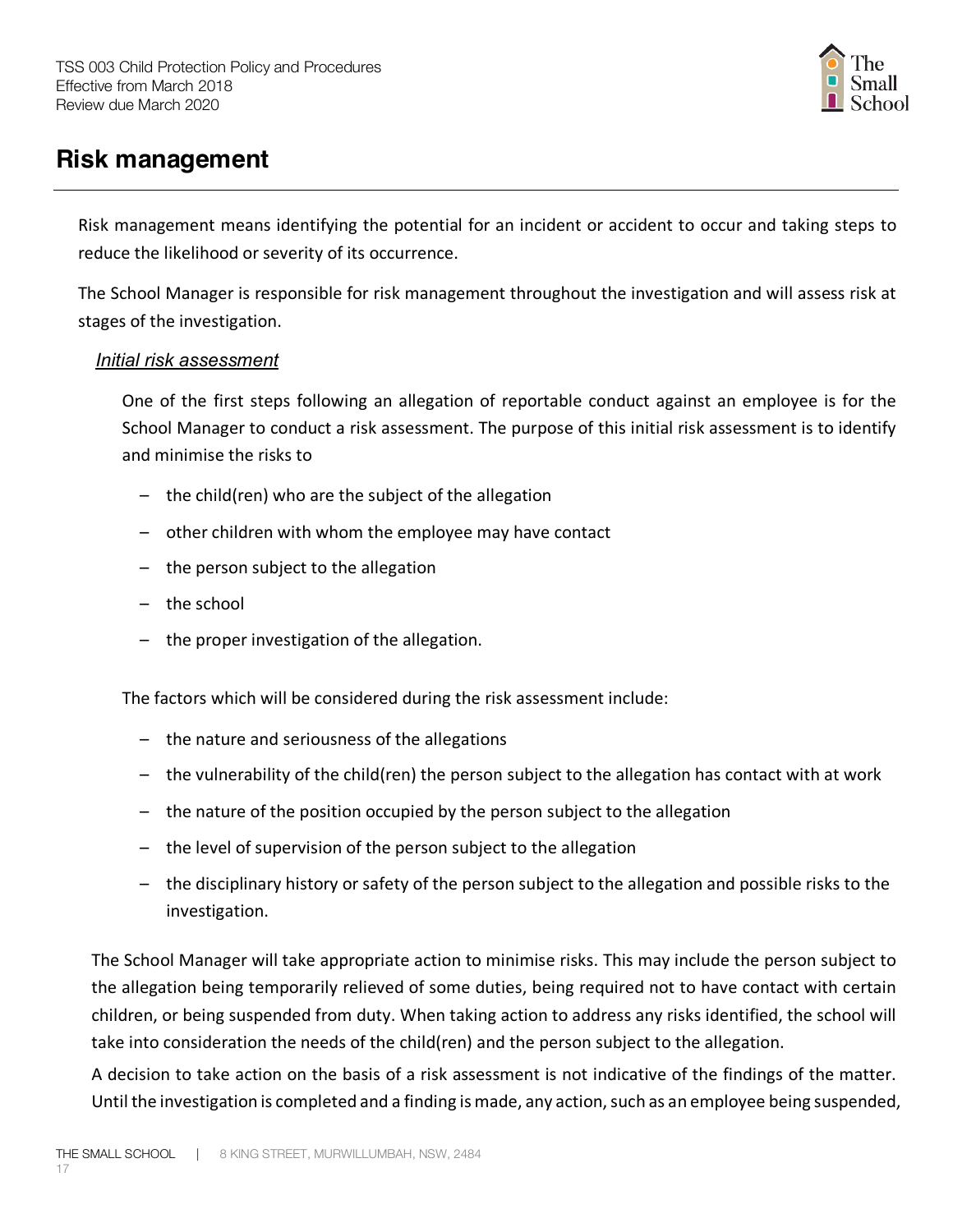

# **Risk management**

Risk management means identifying the potential for an incident or accident to occur and taking steps to reduce the likelihood or severity of its occurrence.

The School Manager is responsible for risk management throughout the investigation and will assess risk at stages of the investigation.

#### *Initial risk assessment*

One of the first steps following an allegation of reportable conduct against an employee is for the School Manager to conduct a risk assessment. The purpose of this initial risk assessment is to identify and minimise the risks to

- the child(ren) who are the subject of the allegation
- other children with whom the employee may have contact
- the person subject to the allegation
- the school
- the proper investigation of the allegation.

The factors which will be considered during the risk assessment include:

- the nature and seriousness of the allegations
- the vulnerability of the child(ren) the person subject to the allegation has contact with at work
- the nature of the position occupied by the person subject to the allegation
- the level of supervision of the person subject to the allegation
- the disciplinary history or safety of the person subject to the allegation and possible risks to the investigation.

The School Manager will take appropriate action to minimise risks. This may include the person subject to the allegation being temporarily relieved of some duties, being required not to have contact with certain children, or being suspended from duty. When taking action to address any risks identified, the school will take into consideration the needs of the child(ren) and the person subject to the allegation.

A decision to take action on the basis of a risk assessment is not indicative of the findings of the matter. Until the investigation is completed and a finding is made, any action, such as an employee being suspended,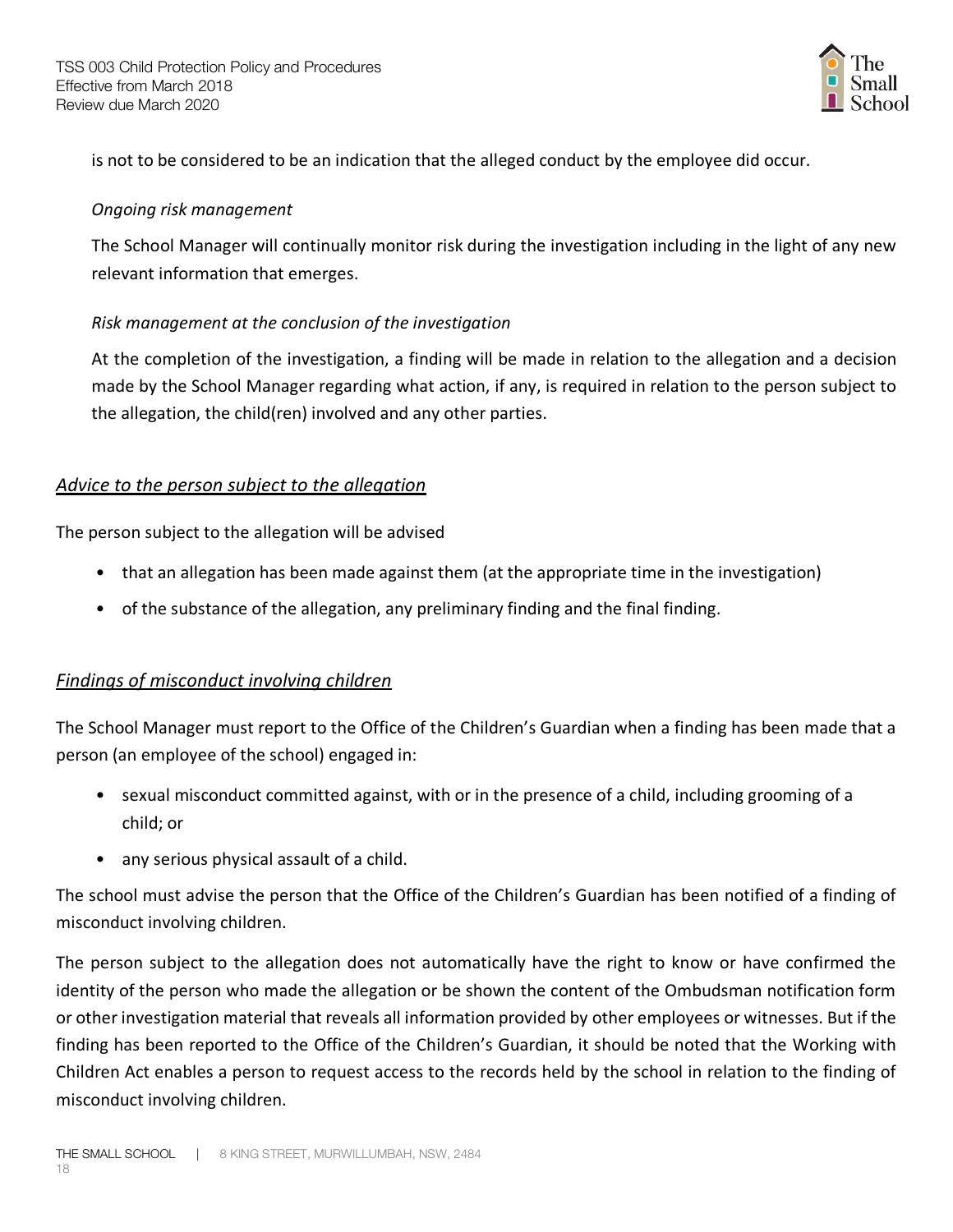

is not to be considered to be an indication that the alleged conduct by the employee did occur.

#### *Ongoing risk management*

The School Manager will continually monitor risk during the investigation including in the light of any new relevant information that emerges.

#### *Risk management at the conclusion of the investigation*

At the completion of the investigation, a finding will be made in relation to the allegation and a decision made by the School Manager regarding what action, if any, is required in relation to the person subject to the allegation, the child(ren) involved and any other parties.

#### *Advice to the person subject to the allegation*

The person subject to the allegation will be advised

- that an allegation has been made against them (at the appropriate time in the investigation)
- of the substance of the allegation, any preliminary finding and the final finding.

#### *Findings of misconduct involving children*

The School Manager must report to the Office of the Children's Guardian when a finding has been made that a person (an employee of the school) engaged in:

- sexual misconduct committed against, with or in the presence of a child, including grooming of a child; or
- any serious physical assault of a child.

The school must advise the person that the Office of the Children's Guardian has been notified of a finding of misconduct involving children.

The person subject to the allegation does not automatically have the right to know or have confirmed the identity of the person who made the allegation or be shown the content of the Ombudsman notification form or other investigation material that reveals all information provided by other employees or witnesses. But if the finding has been reported to the Office of the Children's Guardian, it should be noted that the Working with Children Act enables a person to request access to the records held by the school in relation to the finding of misconduct involving children.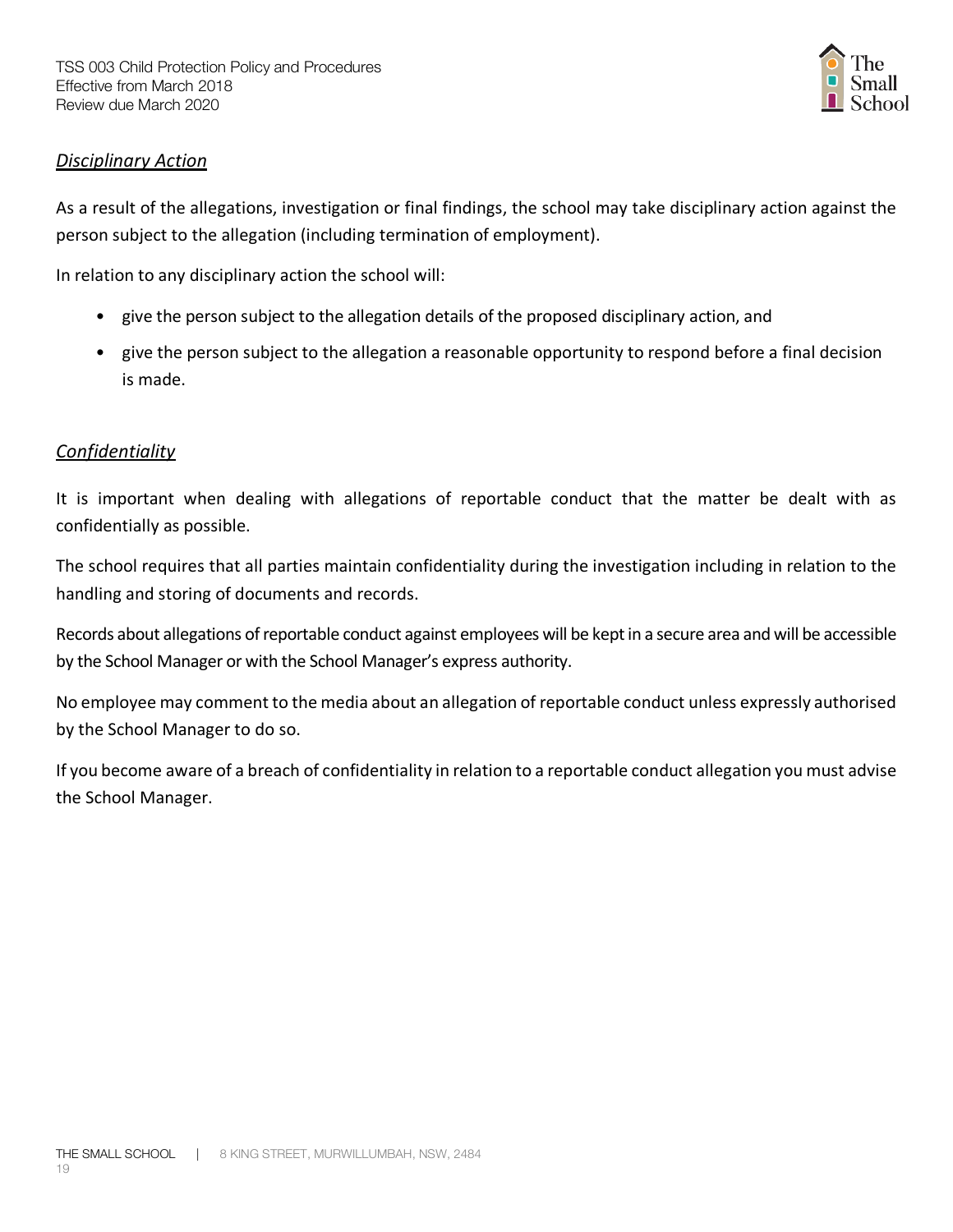

#### *Disciplinary Action*

As a result of the allegations, investigation or final findings, the school may take disciplinary action against the person subject to the allegation (including termination of employment).

In relation to any disciplinary action the school will:

- give the person subject to the allegation details of the proposed disciplinary action, and
- give the person subject to the allegation a reasonable opportunity to respond before a final decision is made.

#### *Confidentiality*

It is important when dealing with allegations of reportable conduct that the matter be dealt with as confidentially as possible.

The school requires that all parties maintain confidentiality during the investigation including in relation to the handling and storing of documents and records.

Records about allegations of reportable conduct against employees will be kept in a secure area and will be accessible by the School Manager or with the School Manager's express authority.

No employee may comment to the media about an allegation of reportable conduct unless expressly authorised by the School Manager to do so.

If you become aware of a breach of confidentiality in relation to a reportable conduct allegation you must advise the School Manager.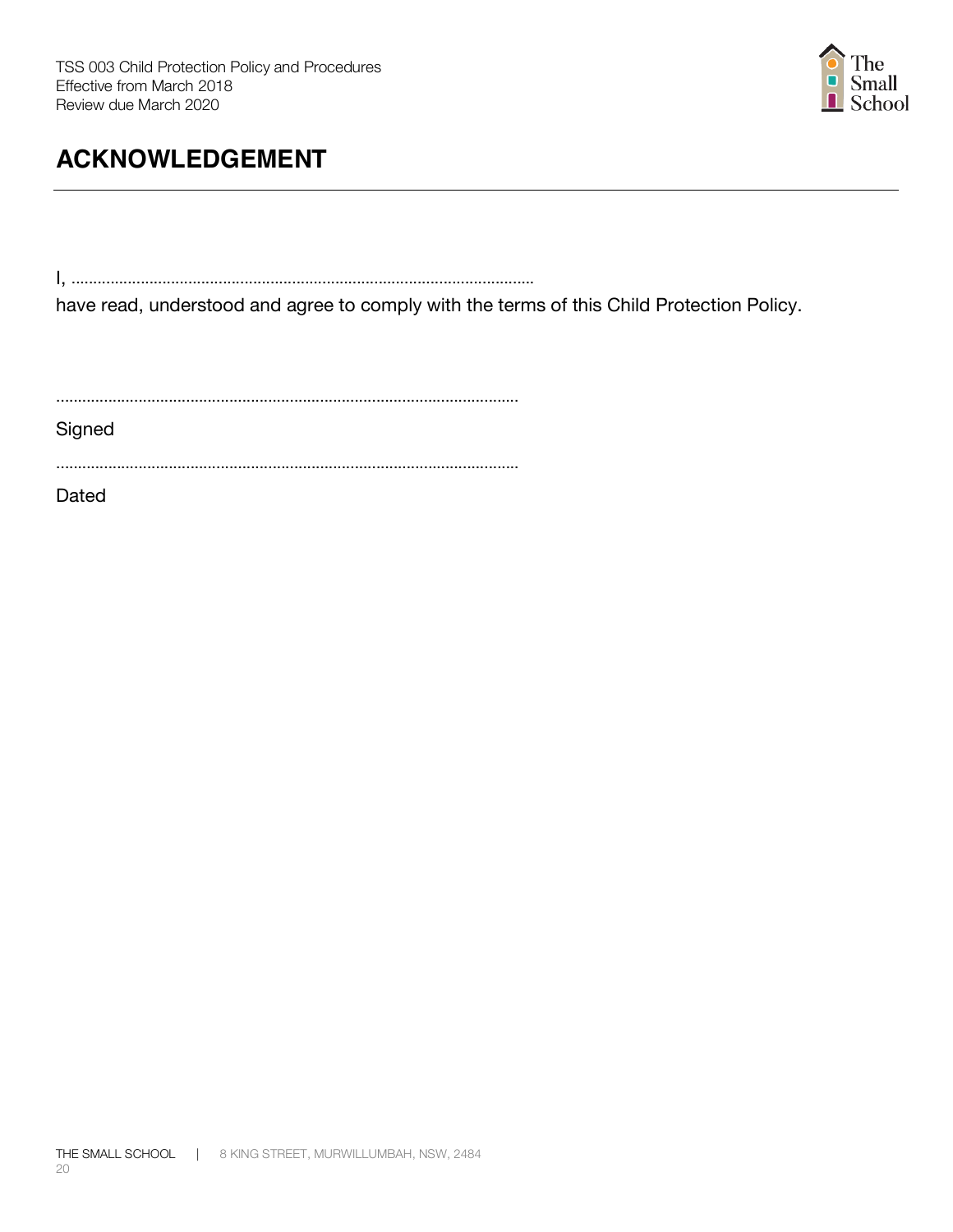

# **ACKNOWLEDGEMENT**

I, ...........................................................................................................

have read, understood and agree to comply with the terms of this Child Protection Policy.

...........................................................................................................

**Signed** 

...........................................................................................................

Dated